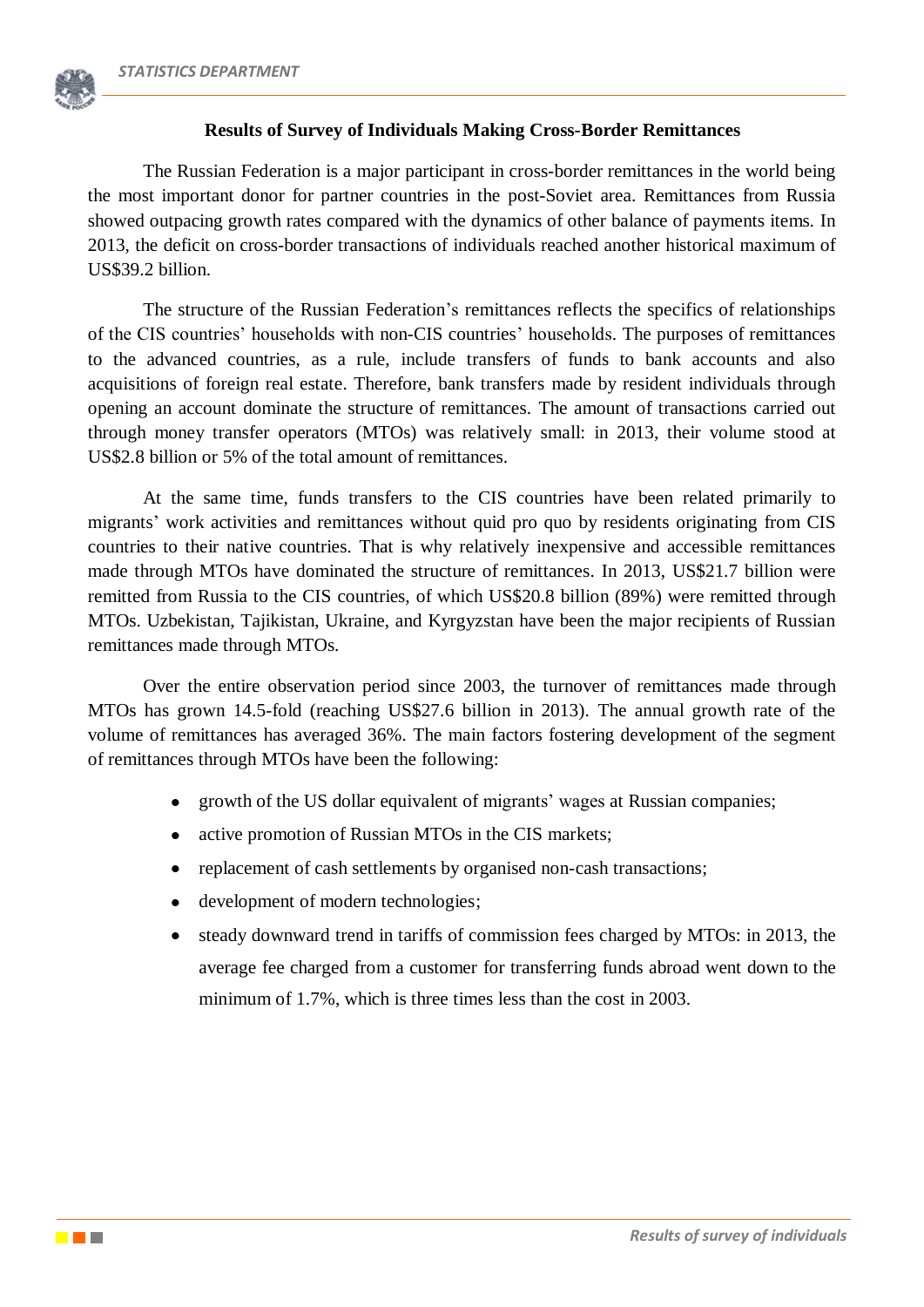

# **Results of Survey of Individuals Making Cross-Border Remittances**

The Russian Federation is a major participant in cross-border remittances in the world being the most important donor for partner countries in the post-Soviet area. Remittances from Russia showed outpacing growth rates compared with the dynamics of other balance of payments items. In 2013, the deficit on cross-border transactions of individuals reached another historical maximum of US\$39.2 billion.

The structure of the Russian Federation's remittances reflects the specifics of relationships of the CIS countries' households with non-CIS countries' households. The purposes of remittances to the advanced countries, as a rule, include transfers of funds to bank accounts and also acquisitions of foreign real estate. Therefore, bank transfers made by resident individuals through opening an account dominate the structure of remittances. The amount of transactions carried out through money transfer operators (MTOs) was relatively small: in 2013, their volume stood at US\$2.8 billion or 5% of the total amount of remittances.

At the same time, funds transfers to the CIS countries have been related primarily to migrants' work activities and remittances without quid pro quo by residents originating from CIS countries to their native countries. That is why relatively inexpensive and accessible remittances made through MTOs have dominated the structure of remittances. In 2013, US\$21.7 billion were remitted from Russia to the CIS countries, of which US\$20.8 billion (89%) were remitted through MTOs. Uzbekistan, Tajikistan, Ukraine, and Kyrgyzstan have been the major recipients of Russian remittances made through MTOs.

Over the entire observation period since 2003, the turnover of remittances made through MTOs has grown 14.5-fold (reaching US\$27.6 billion in 2013). The annual growth rate of the volume of remittances has averaged 36%. The main factors fostering development of the segment of remittances through MTOs have been the following:

- growth of the US dollar equivalent of migrants' wages at Russian companies;
- active promotion of Russian MTOs in the CIS markets;
- replacement of cash settlements by organised non-cash transactions;
- development of modern technologies;
- steady downward trend in tariffs of commission fees charged by MTOs: in 2013, the average fee charged from a customer for transferring funds abroad went down to the minimum of 1.7%, which is three times less than the cost in 2003.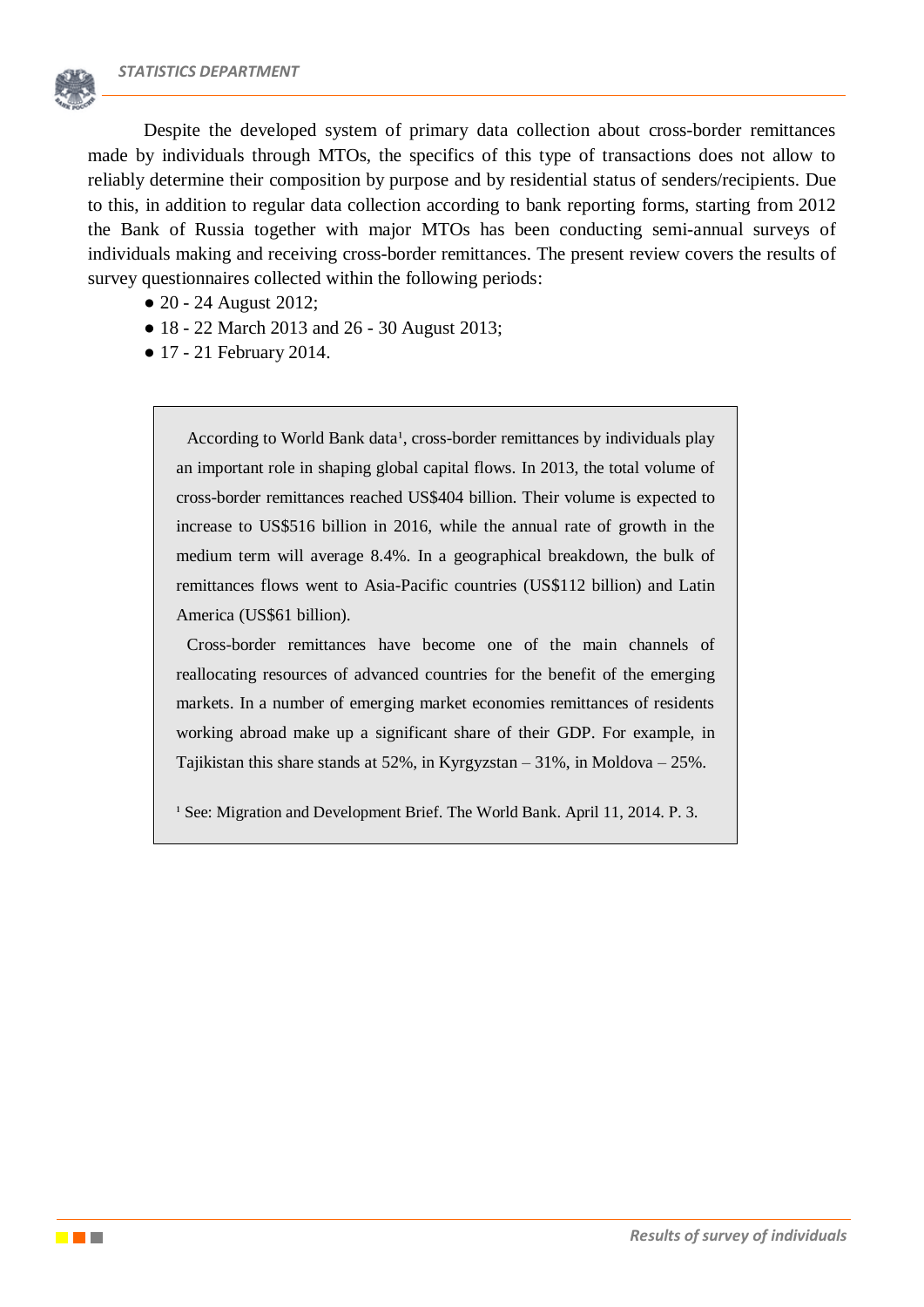

Despite the developed system of primary data collection about cross-border remittances made by individuals through MTOs, the specifics of this type of transactions does not allow to reliably determine their composition by purpose and by residential status of senders/recipients. Due to this, in addition to regular data collection according to bank reporting forms, starting from 2012 the Bank of Russia together with major MTOs has been conducting semi-annual surveys of individuals making and receiving cross-border remittances. The present review covers the results of survey questionnaires collected within the following periods:

- 20 24 August 2012;
- 18 22 March 2013 and 26 30 August 2013;
- 17 21 February 2014.

According to World Bank data<sup>1</sup>, cross-border remittances by individuals play an important role in shaping global capital flows. In 2013, the total volume of cross-border remittances reached US\$404 billion. Their volume is expected to increase to US\$516 billion in 2016, while the annual rate of growth in the medium term will average 8.4%. In a geographical breakdown, the bulk of remittances flows went to Asia-Pacific countries (US\$112 billion) and Latin America (US\$61 billion).

Cross-border remittances have become one of the main channels of reallocating resources of advanced countries for the benefit of the emerging markets. In a number of emerging market economies remittances of residents working abroad make up a significant share of their GDP. For example, in Tajikistan this share stands at 52%, in Kyrgyzstan – 31%, in Moldova – 25%.

<sup>1</sup> See: Migration and Development Brief. The World Bank. April 11, 2014. P. 3.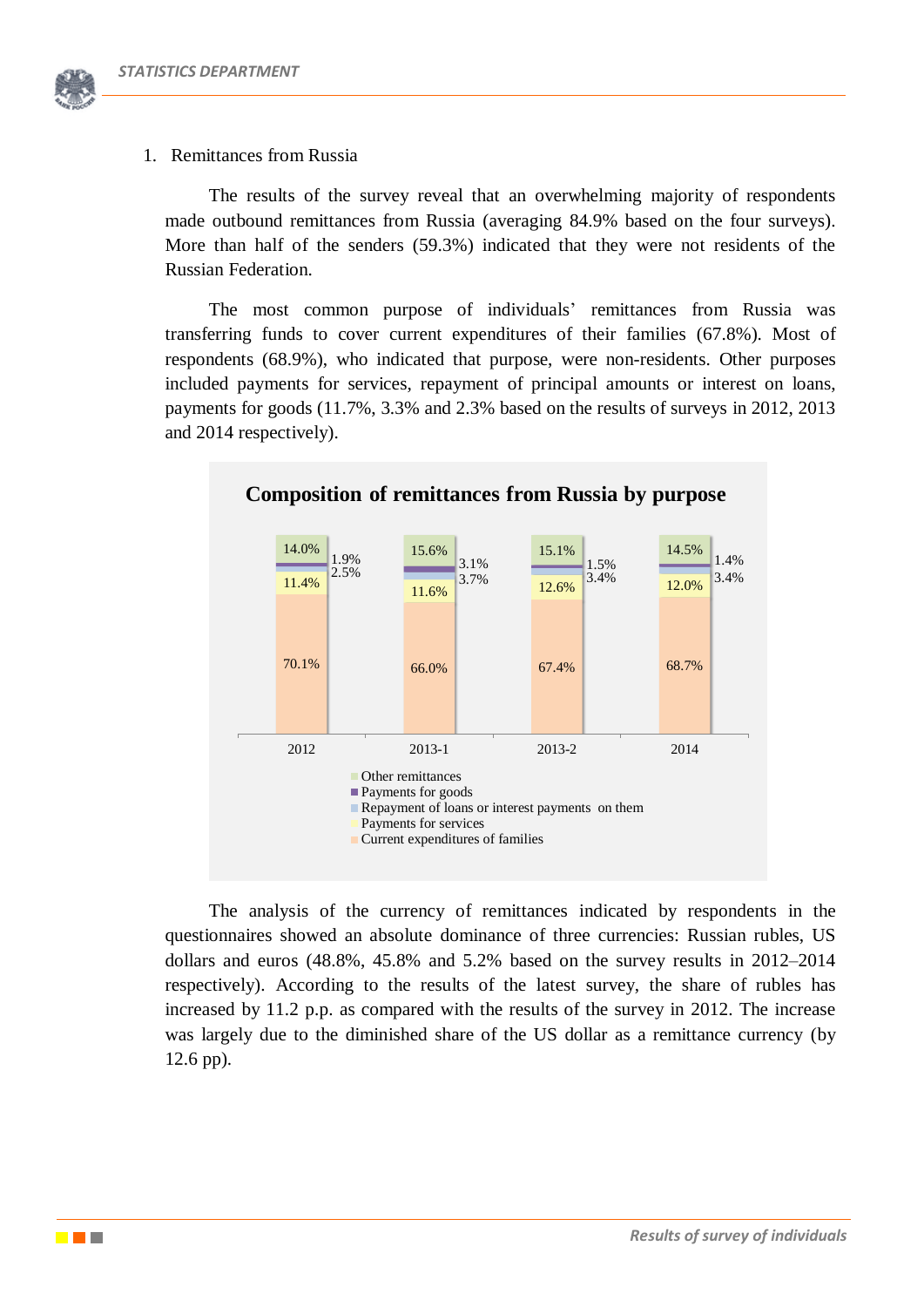

### 1. Remittances from Russia

The results of the survey reveal that an overwhelming majority of respondents made outbound remittances from Russia (averaging 84.9% based on the four surveys). More than half of the senders (59.3%) indicated that they were not residents of the Russian Federation.

The most common purpose of individuals' remittances from Russia was transferring funds to cover current expenditures of their families (67.8%). Most of respondents (68.9%), who indicated that purpose, were non-residents. Other purposes included payments for services, repayment of principal amounts or interest on loans, payments for goods (11.7%, 3.3% and 2.3% based on the results of surveys in 2012, 2013 and 2014 respectively).



**Composition of remittances from Russia by purpose**

The analysis of the currency of remittances indicated by respondents in the questionnaires showed an absolute dominance of three currencies: Russian rubles, US dollars and euros (48.8%, 45.8% and 5.2% based on the survey results in 2012–2014 respectively). According to the results of the latest survey, the share of rubles has increased by 11.2 p.p. as compared with the results of the survey in 2012. The increase was largely due to the diminished share of the US dollar as a remittance currency (by 12.6 pp).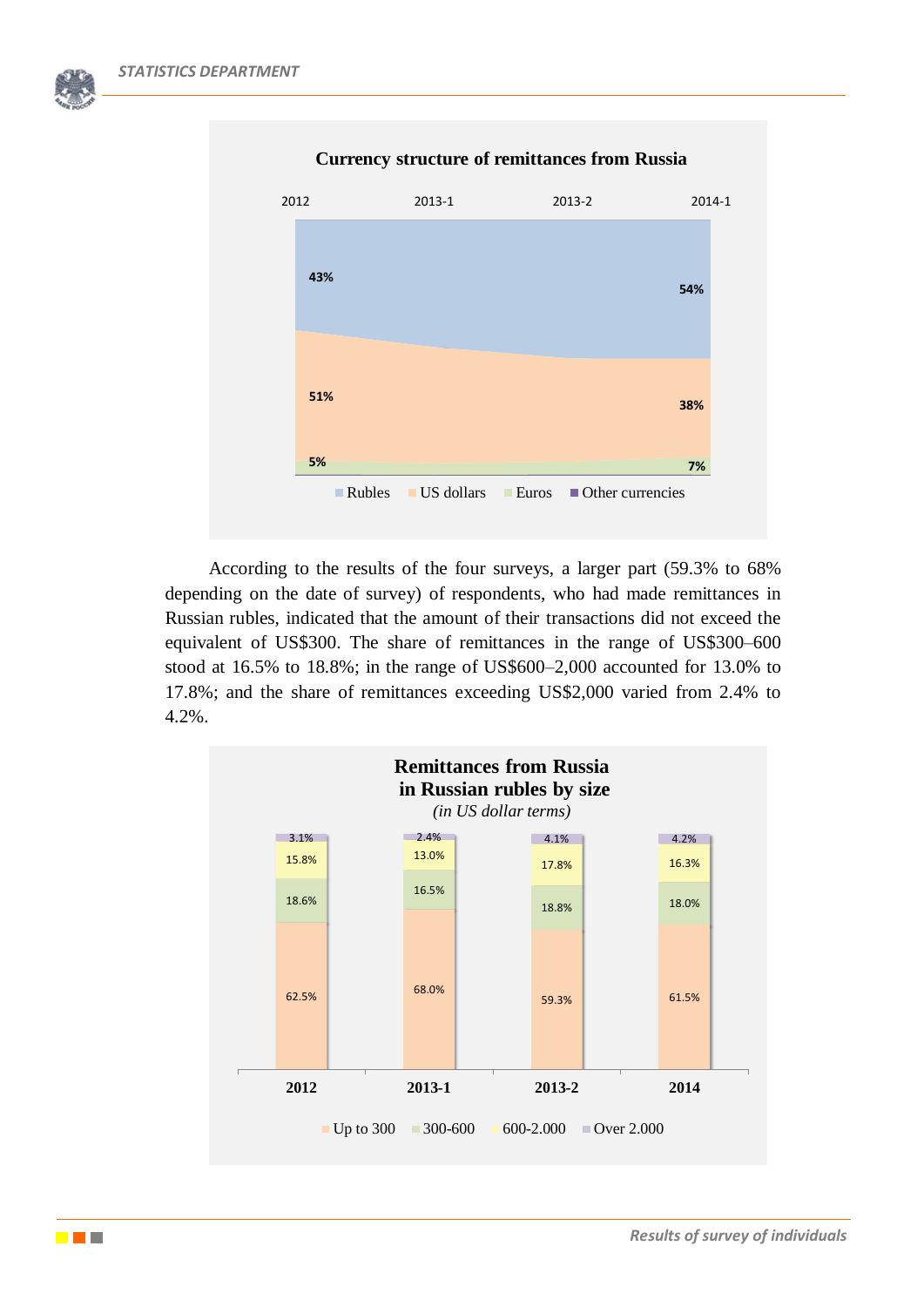

### **Currency structure of remittances from Russia**

According to the results of the four surveys, a larger part (59.3% to 68% depending on the date of survey) of respondents, who had made remittances in Russian rubles, indicated that the amount of their transactions did not exceed the equivalent of US\$300. The share of remittances in the range of US\$300–600 stood at 16.5% to 18.8%; in the range of US\$600–2,000 accounted for 13.0% to 17.8%; and the share of remittances exceeding US\$2,000 varied from 2.4% to 4.2%.

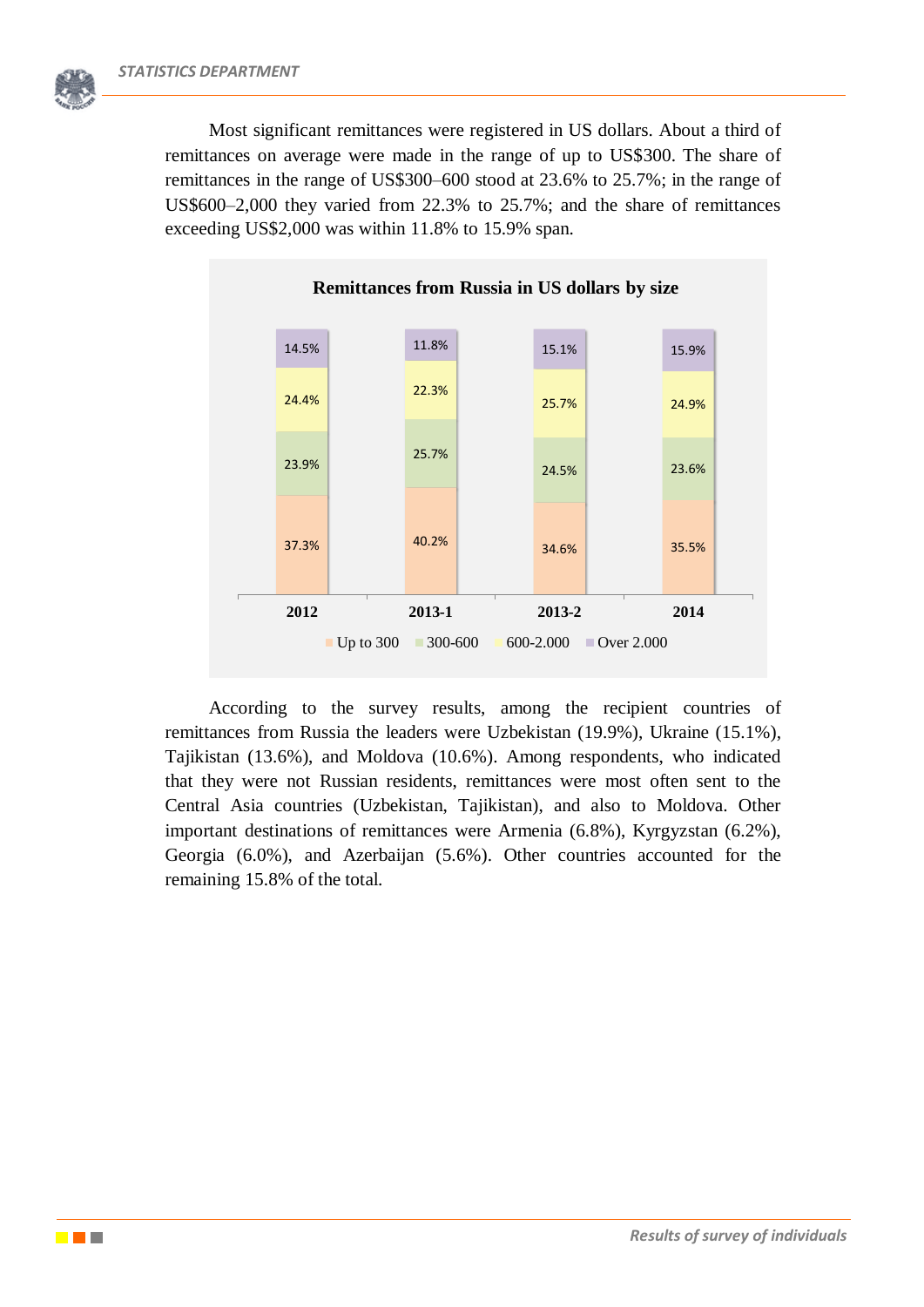Most significant remittances were registered in US dollars. About a third of remittances on average were made in the range of up to US\$300. The share of remittances in the range of US\$300–600 stood at 23.6% to 25.7%; in the range of US\$600–2,000 they varied from 22.3% to 25.7%; and the share of remittances exceeding US\$2,000 was within 11.8% to 15.9% span.



#### **Remittances from Russia in US dollars by size**

According to the survey results, among the recipient countries of remittances from Russia the leaders were Uzbekistan (19.9%), Ukraine (15.1%), Tajikistan (13.6%), and Moldova (10.6%). Among respondents, who indicated that they were not Russian residents, remittances were most often sent to the Central Asia countries (Uzbekistan, Tajikistan), and also to Moldova. Other important destinations of remittances were Armenia (6.8%), Kyrgyzstan (6.2%), Georgia (6.0%), and Azerbaijan (5.6%). Other countries accounted for the remaining 15.8% of the total.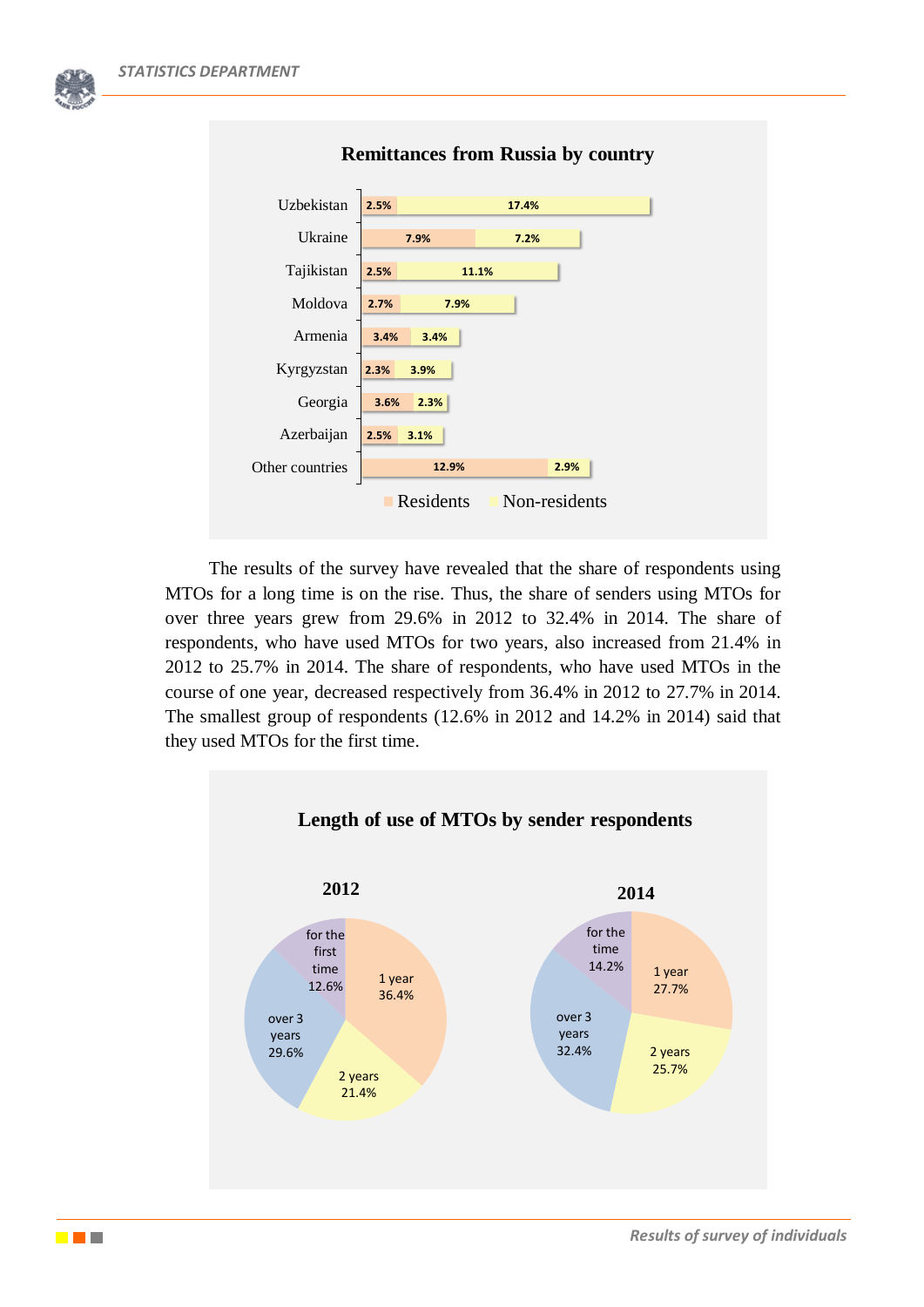| <b>Remittances from Russia by country</b> |              |               |  |  |
|-------------------------------------------|--------------|---------------|--|--|
| Uzbekistan                                | 2.5%         | 17.4%         |  |  |
| Ukraine                                   | 7.9%         | 7.2%          |  |  |
| Tajikistan                                | 2.5%         | 11.1%         |  |  |
| Moldova                                   | 2.7%<br>7.9% |               |  |  |
| Armenia                                   | 3.4%<br>3.4% |               |  |  |
| Kyrgyzstan                                | 2.3%<br>3.9% |               |  |  |
| Georgia                                   | 3.6%<br>2.3% |               |  |  |
| Azerbaijan                                | 2.5%<br>3.1% |               |  |  |
| Other countries                           | 12.9%        | 2.9%          |  |  |
|                                           | Residents    | Non-residents |  |  |

The results of the survey have revealed that the share of respondents using MTOs for a long time is on the rise. Thus, the share of senders using MTOs for over three years grew from 29.6% in 2012 to 32.4% in 2014. The share of respondents, who have used MTOs for two years, also increased from 21.4% in 2012 to 25.7% in 2014. The share of respondents, who have used MTOs in the course of one year, decreased respectively from 36.4% in 2012 to 27.7% in 2014. The smallest group of respondents (12.6% in 2012 and 14.2% in 2014) said that they used MTOs for the first time.

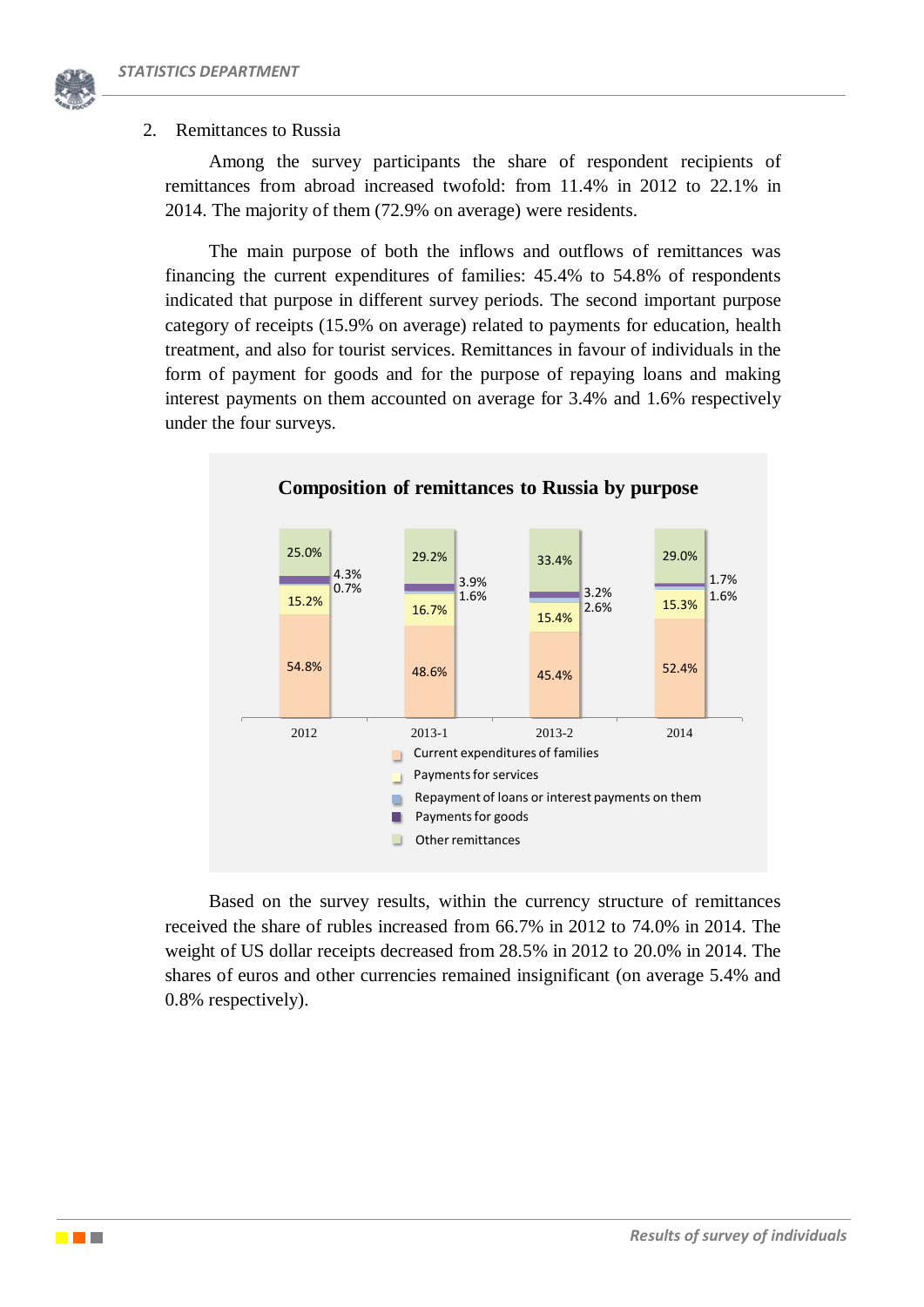

Among the survey participants the share of respondent recipients of remittances from abroad increased twofold: from 11.4% in 2012 to 22.1% in 2014. The majority of them (72.9% on average) were residents.

The main purpose of both the inflows and outflows of remittances was financing the current expenditures of families: 45.4% to 54.8% of respondents indicated that purpose in different survey periods. The second important purpose category of receipts (15.9% on average) related to payments for education, health treatment, and also for tourist services. Remittances in favour of individuals in the form of payment for goods and for the purpose of repaying loans and making interest payments on them accounted on average for 3.4% and 1.6% respectively under the four surveys.



Based on the survey results, within the currency structure of remittances received the share of rubles increased from 66.7% in 2012 to 74.0% in 2014. The weight of US dollar receipts decreased from 28.5% in 2012 to 20.0% in 2014. The shares of euros and other currencies remained insignificant (on average 5.4% and 0.8% respectively).

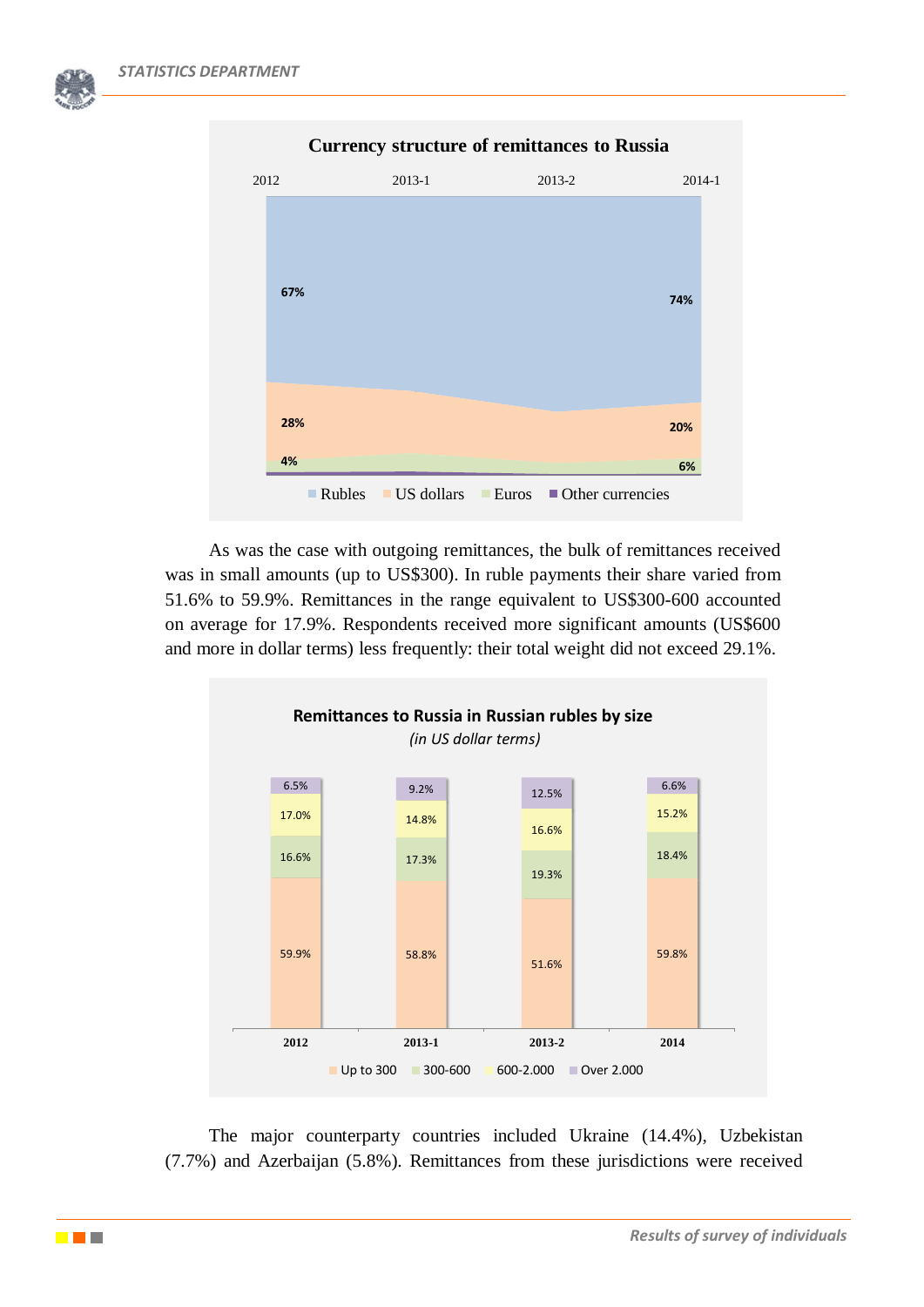

As was the case with outgoing remittances, the bulk of remittances received was in small amounts (up to US\$300). In ruble payments their share varied from 51.6% to 59.9%. Remittances in the range equivalent to US\$300-600 accounted on average for 17.9%. Respondents received more significant amounts (US\$600 and more in dollar terms) less frequently: their total weight did not exceed 29.1%.



The major counterparty countries included Ukraine (14.4%), Uzbekistan (7.7%) and Azerbaijan (5.8%). Remittances from these jurisdictions were received

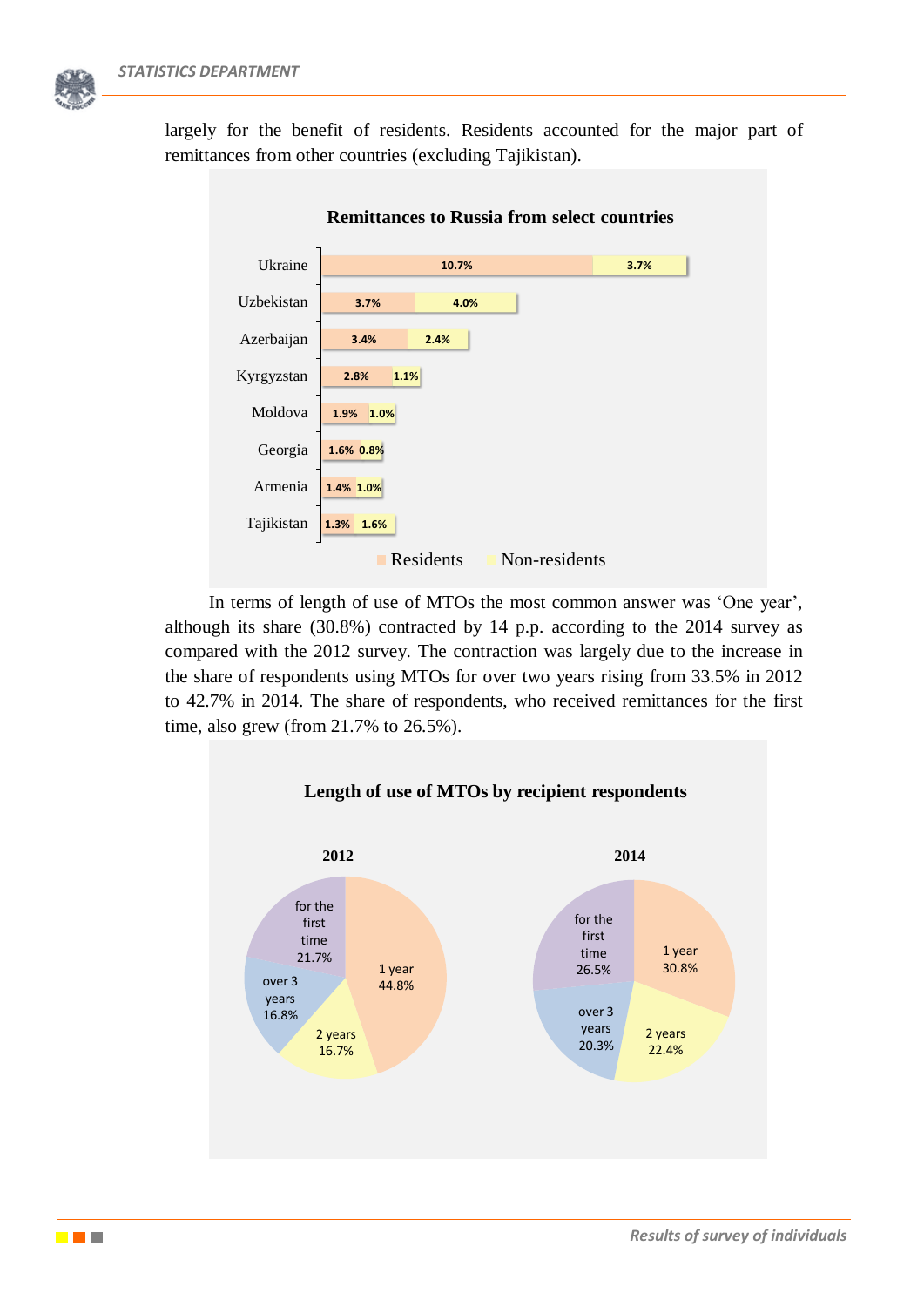



In terms of length of use of MTOs the most common answer was 'One year', although its share (30.8%) contracted by 14 p.p. according to the 2014 survey as compared with the 2012 survey. The contraction was largely due to the increase in the share of respondents using MTOs for over two years rising from 33.5% in 2012 to 42.7% in 2014. The share of respondents, who received remittances for the first time, also grew (from 21.7% to 26.5%).



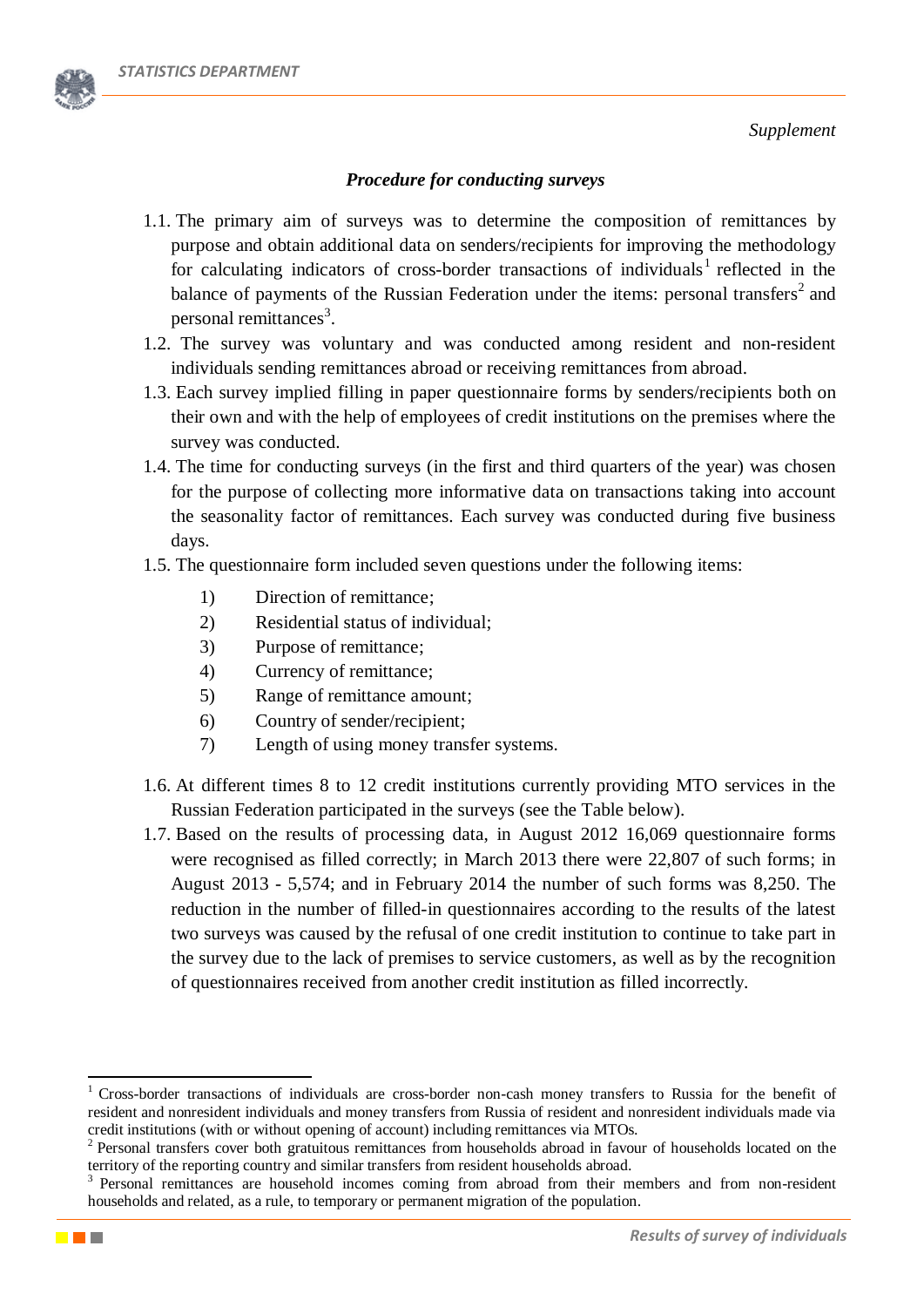

# *Procedure for conducting surveys*

- 1.1. The primary aim of surveys was to determine the composition of remittances by purpose and obtain additional data on senders/recipients for improving the methodology for calculating indicators of cross-border transactions of individuals<sup>1</sup> reflected in the balance of payments of the Russian Federation under the items: personal transfers<sup>2</sup> and personal remittances<sup>3</sup>.
- 1.2. The survey was voluntary and was conducted among resident and non-resident individuals sending remittances abroad or receiving remittances from abroad.
- 1.3. Each survey implied filling in paper questionnaire forms by senders/recipients both on their own and with the help of employees of credit institutions on the premises where the survey was conducted.
- 1.4. The time for conducting surveys (in the first and third quarters of the year) was chosen for the purpose of collecting more informative data on transactions taking into account the seasonality factor of remittances. Each survey was conducted during five business days.
- 1.5. The questionnaire form included seven questions under the following items:
	- 1) Direction of remittance;
	- 2) Residential status of individual;
	- 3) Purpose of remittance;
	- 4) Currency of remittance;
	- 5) Range of remittance amount;
	- 6) Country of sender/recipient;
	- 7) Length of using money transfer systems.
- 1.6. At different times 8 to 12 credit institutions currently providing MTO services in the Russian Federation participated in the surveys (see the Table below).
- 1.7. Based on the results of processing data, in August 2012 16,069 questionnaire forms were recognised as filled correctly; in March 2013 there were 22,807 of such forms; in August 2013 - 5,574; and in February 2014 the number of such forms was 8,250. The reduction in the number of filled-in questionnaires according to the results of the latest two surveys was caused by the refusal of one credit institution to continue to take part in the survey due to the lack of premises to service customers, as well as by the recognition of questionnaires received from another credit institution as filled incorrectly.

**.** 

<sup>1</sup> Cross-border transactions of individuals are cross-border non-cash money transfers to Russia for the benefit of resident and nonresident individuals and money transfers from Russia of resident and nonresident individuals made via credit institutions (with or without opening of account) including remittances via MTOs.

<sup>&</sup>lt;sup>2</sup> Personal transfers cover both gratuitous remittances from households abroad in favour of households located on the territory of the reporting country and similar transfers from resident households abroad.

<sup>&</sup>lt;sup>3</sup> Personal remittances are household incomes coming from abroad from their members and from non-resident households and related, as a rule, to temporary or permanent migration of the population.